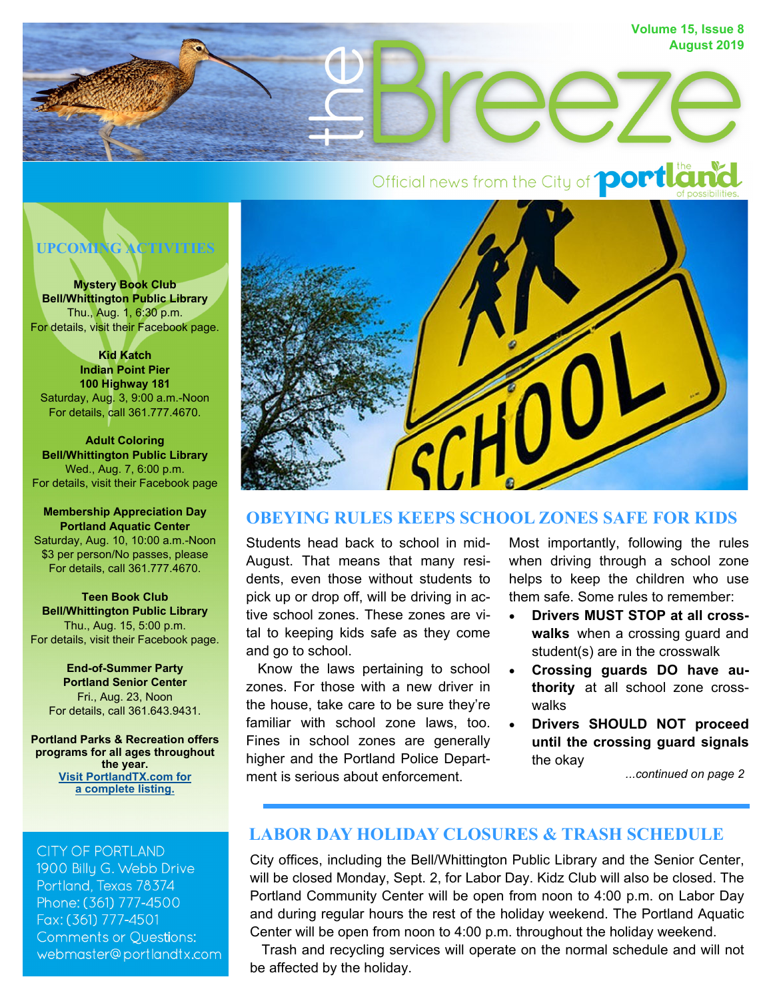

# Official news from the City of **portland**



**Mystery Book Club Bell/Whittington Public Library**  Thu., Aug. 1, 6:30 p.m. For details, visit their Facebook page.

**Kid Katch Indian Point Pier 100 Highway 181**  Saturday, Aug. 3, 9:00 a.m.-Noon For details, call 361.777.4670.

**Adult Coloring Bell/Whittington Public Library**  Wed., Aug. 7, 6:00 p.m. For details, visit their Facebook page

**Membership Appreciation Day Portland Aquatic Center**  Saturday, Aug. 10, 10:00 a.m.-Noon \$3 per person/No passes, please For details, call 361.777.4670.

**Teen Book Club Bell/Whittington Public Library**  Thu., Aug. 15, 5:00 p.m. For details, visit their Facebook page.

**End-of-Summer Party Portland Senior Center**  Fri., Aug. 23, Noon For details, call 361.643.9431.

**Portland Parks & Recreation offers programs for all ages throughout the year. Visit PortlandTX.com for a complete listing.** 

**CITY OF PORTLAND** 1900 Billu G. Webb Drive Portland, Texas 78374

Phone: (361) 777-4500 Fax: (361) 777-4501 **Comments or Questions:** webmaster@portlandtx.com



## **OBEYING RULES KEEPS SCHOOL ZONES SAFE FOR KIDS**

Students head back to school in mid-August. That means that many residents, even those without students to pick up or drop off, will be driving in active school zones. These zones are vital to keeping kids safe as they come and go to school.

 Know the laws pertaining to school zones. For those with a new driver in the house, take care to be sure they're familiar with school zone laws, too. Fines in school zones are generally higher and the Portland Police Department is serious about enforcement.

Most importantly, following the rules when driving through a school zone helps to keep the children who use them safe. Some rules to remember:

- **Drivers MUST STOP at all crosswalks** when a crossing guard and student(s) are in the crosswalk
- **Crossing guards DO have authority** at all school zone crosswalks
- **Drivers SHOULD NOT proceed until the crossing guard signals** the okay

*...continued on page 2*

## **LABOR DAY HOLIDAY CLOSURES & TRASH SCHEDULE**

City offices, including the Bell/Whittington Public Library and the Senior Center, will be closed Monday, Sept. 2, for Labor Day. Kidz Club will also be closed. The Portland Community Center will be open from noon to 4:00 p.m. on Labor Day and during regular hours the rest of the holiday weekend. The Portland Aquatic Center will be open from noon to 4:00 p.m. throughout the holiday weekend.

 Trash and recycling services will operate on the normal schedule and will not be affected by the holiday.